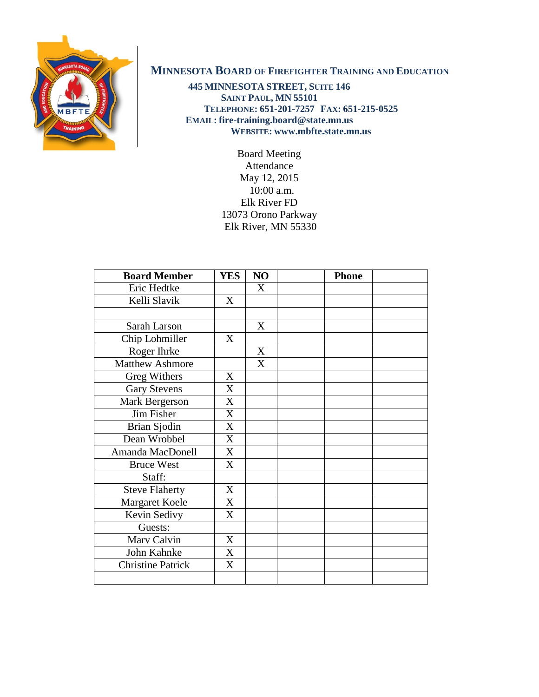

## **MINNESOTA BOARD OF FIREFIGHTER TRAINING AND EDUCATION**

**445 MINNESOTA STREET, SUITE 146 SAINT PAUL, MN 55101 TELEPHONE: 651-201-7257 FAX: 651-215-0525 EMAIL: fire-training.board@state.mn.us WEBSITE: www.mbfte.state.mn.us**

> Board Meeting Attendance May 12, 2015 10:00 a.m. Elk River FD 13073 Orono Parkway Elk River, MN 55330

| <b>Board Member</b>      | <b>YES</b> | NO | <b>Phone</b> |
|--------------------------|------------|----|--------------|
| Eric Hedtke              |            | X  |              |
| Kelli Slavik             | X          |    |              |
|                          |            |    |              |
| Sarah Larson             |            | X  |              |
| Chip Lohmiller           | X          |    |              |
| Roger Ihrke              |            | X  |              |
| <b>Matthew Ashmore</b>   |            | X  |              |
| Greg Withers             | X          |    |              |
| <b>Gary Stevens</b>      | X          |    |              |
| Mark Bergerson           | X          |    |              |
| Jim Fisher               | X          |    |              |
| Brian Sjodin             | X          |    |              |
| Dean Wrobbel             | X          |    |              |
| Amanda MacDonell         | X          |    |              |
| <b>Bruce West</b>        | X          |    |              |
| Staff:                   |            |    |              |
| <b>Steve Flaherty</b>    | X          |    |              |
| Margaret Koele           | X          |    |              |
| Kevin Sedivy             | X          |    |              |
| Guests:                  |            |    |              |
| Marv Calvin              | X          |    |              |
| John Kahnke              | X          |    |              |
| <b>Christine Patrick</b> | X          |    |              |
|                          |            |    |              |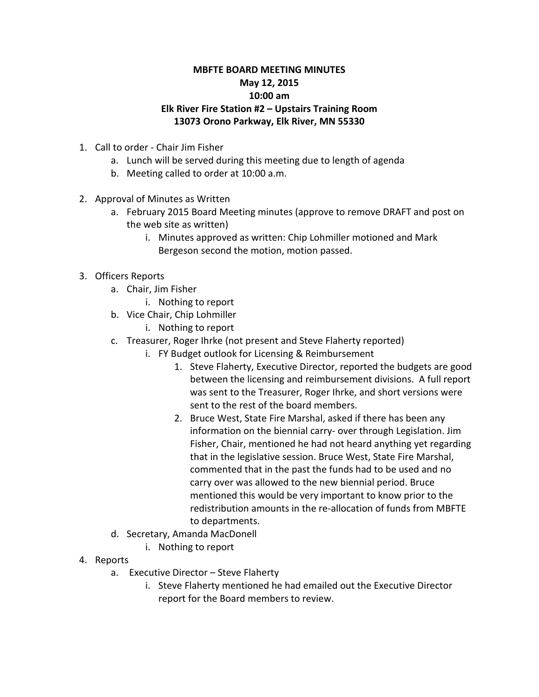## **MBFTE BOARD MEETING MINUTES May 12, 2015 10:00 am Elk River Fire Station #2 – Upstairs Training Room 13073 Orono Parkway, Elk River, MN 55330**

- 1. Call to order Chair Jim Fisher
	- a. Lunch will be served during this meeting due to length of agenda
	- b. Meeting called to order at 10:00 a.m.
- 2. Approval of Minutes as Written
	- a. February 2015 Board Meeting minutes (approve to remove DRAFT and post on the web site as written)
		- i. Minutes approved as written: Chip Lohmiller motioned and Mark Bergeson second the motion, motion passed.
- 3. Officers Reports
	- a. Chair, Jim Fisher
		- i. Nothing to report
	- b. Vice Chair, Chip Lohmiller
		- i. Nothing to report
	- c. Treasurer, Roger Ihrke (not present and Steve Flaherty reported)
		- i. FY Budget outlook for Licensing & Reimbursement
			- 1. Steve Flaherty, Executive Director, reported the budgets are good between the licensing and reimbursement divisions. A full report was sent to the Treasurer, Roger Ihrke, and short versions were sent to the rest of the board members.
			- 2. Bruce West, State Fire Marshal, asked if there has been any information on the biennial carry- over through Legislation. Jim Fisher, Chair, mentioned he had not heard anything yet regarding that in the legislative session. Bruce West, State Fire Marshal, commented that in the past the funds had to be used and no carry over was allowed to the new biennial period. Bruce mentioned this would be very important to know prior to the redistribution amounts in the re-allocation of funds from MBFTE to departments.
	- d. Secretary, Amanda MacDonell
		- i. Nothing to report
- 4. Reports
	- a. Executive Director Steve Flaherty
		- i. Steve Flaherty mentioned he had emailed out the Executive Director report for the Board members to review.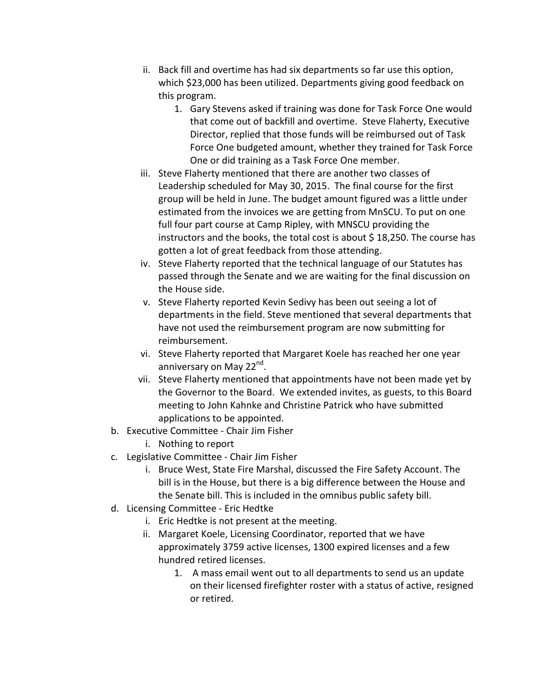- ii. Back fill and overtime has had six departments so far use this option, which \$23,000 has been utilized. Departments giving good feedback on this program.
	- 1. Gary Stevens asked if training was done for Task Force One would that come out of backfill and overtime. Steve Flaherty, Executive Director, replied that those funds will be reimbursed out of Task Force One budgeted amount, whether they trained for Task Force One or did training as a Task Force One member.
- iii. Steve Flaherty mentioned that there are another two classes of Leadership scheduled for May 30, 2015. The final course for the first group will be held in June. The budget amount figured was a little under estimated from the invoices we are getting from MnSCU. To put on one full four part course at Camp Ripley, with MNSCU providing the instructors and the books, the total cost is about \$18,250. The course has gotten a lot of great feedback from those attending.
- iv. Steve Flaherty reported that the technical language of our Statutes has passed through the Senate and we are waiting for the final discussion on the House side.
- v. Steve Flaherty reported Kevin Sedivy has been out seeing a lot of departments in the field. Steve mentioned that several departments that have not used the reimbursement program are now submitting for reimbursement.
- vi. Steve Flaherty reported that Margaret Koele has reached her one year anniversary on May 22<sup>nd</sup>.
- vii. Steve Flaherty mentioned that appointments have not been made yet by the Governor to the Board. We extended invites, as guests, to this Board meeting to John Kahnke and Christine Patrick who have submitted applications to be appointed.
- b. Executive Committee Chair Jim Fisher
	- i. Nothing to report
- c. Legislative Committee Chair Jim Fisher
	- i. Bruce West, State Fire Marshal, discussed the Fire Safety Account. The bill is in the House, but there is a big difference between the House and the Senate bill. This is included in the omnibus public safety bill.
- d. Licensing Committee Eric Hedtke
	- i. Eric Hedtke is not present at the meeting.
	- ii. Margaret Koele, Licensing Coordinator, reported that we have approximately 3759 active licenses, 1300 expired licenses and a few hundred retired licenses.
		- 1. A mass email went out to all departments to send us an update on their licensed firefighter roster with a status of active, resigned or retired.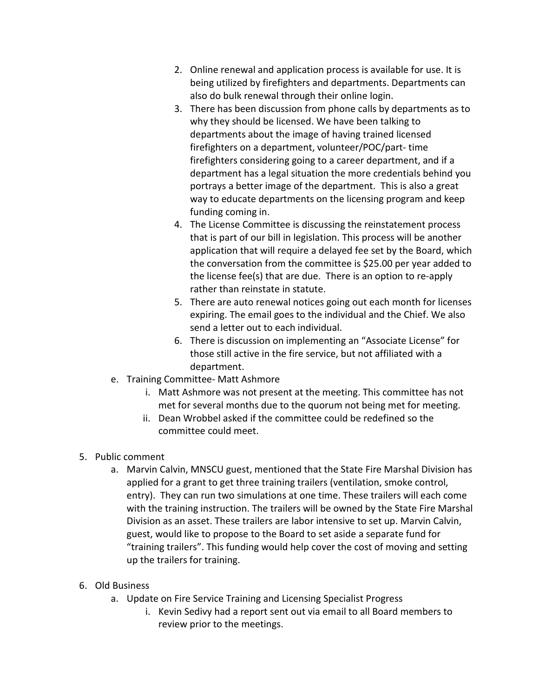- 2. Online renewal and application process is available for use. It is being utilized by firefighters and departments. Departments can also do bulk renewal through their online login.
- 3. There has been discussion from phone calls by departments as to why they should be licensed. We have been talking to departments about the image of having trained licensed firefighters on a department, volunteer/POC/part- time firefighters considering going to a career department, and if a department has a legal situation the more credentials behind you portrays a better image of the department. This is also a great way to educate departments on the licensing program and keep funding coming in.
- 4. The License Committee is discussing the reinstatement process that is part of our bill in legislation. This process will be another application that will require a delayed fee set by the Board, which the conversation from the committee is \$25.00 per year added to the license fee(s) that are due. There is an option to re-apply rather than reinstate in statute.
- 5. There are auto renewal notices going out each month for licenses expiring. The email goes to the individual and the Chief. We also send a letter out to each individual.
- 6. There is discussion on implementing an "Associate License" for those still active in the fire service, but not affiliated with a department.
- e. Training Committee- Matt Ashmore
	- i. Matt Ashmore was not present at the meeting. This committee has not met for several months due to the quorum not being met for meeting.
	- ii. Dean Wrobbel asked if the committee could be redefined so the committee could meet.
- 5. Public comment
	- a. Marvin Calvin, MNSCU guest, mentioned that the State Fire Marshal Division has applied for a grant to get three training trailers (ventilation, smoke control, entry). They can run two simulations at one time. These trailers will each come with the training instruction. The trailers will be owned by the State Fire Marshal Division as an asset. These trailers are labor intensive to set up. Marvin Calvin, guest, would like to propose to the Board to set aside a separate fund for "training trailers". This funding would help cover the cost of moving and setting up the trailers for training.
- 6. Old Business
	- a. Update on Fire Service Training and Licensing Specialist Progress
		- i. Kevin Sedivy had a report sent out via email to all Board members to review prior to the meetings.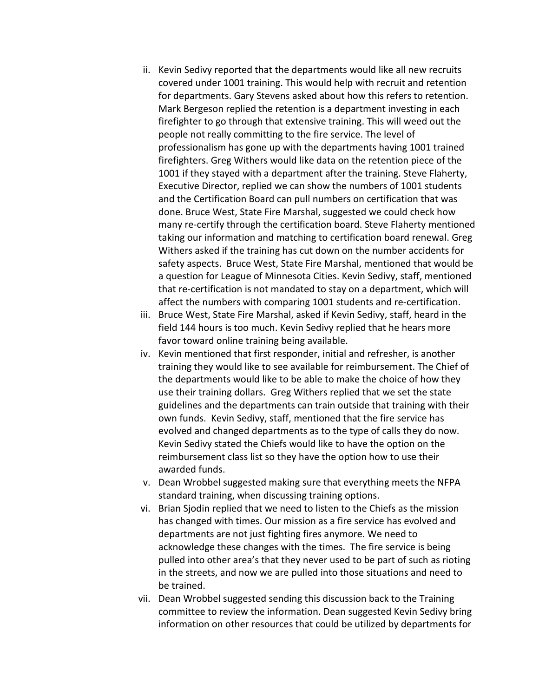- ii. Kevin Sedivy reported that the departments would like all new recruits covered under 1001 training. This would help with recruit and retention for departments. Gary Stevens asked about how this refers to retention. Mark Bergeson replied the retention is a department investing in each firefighter to go through that extensive training. This will weed out the people not really committing to the fire service. The level of professionalism has gone up with the departments having 1001 trained firefighters. Greg Withers would like data on the retention piece of the 1001 if they stayed with a department after the training. Steve Flaherty, Executive Director, replied we can show the numbers of 1001 students and the Certification Board can pull numbers on certification that was done. Bruce West, State Fire Marshal, suggested we could check how many re-certify through the certification board. Steve Flaherty mentioned taking our information and matching to certification board renewal. Greg Withers asked if the training has cut down on the number accidents for safety aspects. Bruce West, State Fire Marshal, mentioned that would be a question for League of Minnesota Cities. Kevin Sedivy, staff, mentioned that re-certification is not mandated to stay on a department, which will affect the numbers with comparing 1001 students and re-certification.
- iii. Bruce West, State Fire Marshal, asked if Kevin Sedivy, staff, heard in the field 144 hours is too much. Kevin Sedivy replied that he hears more favor toward online training being available.
- iv. Kevin mentioned that first responder, initial and refresher, is another training they would like to see available for reimbursement. The Chief of the departments would like to be able to make the choice of how they use their training dollars. Greg Withers replied that we set the state guidelines and the departments can train outside that training with their own funds. Kevin Sedivy, staff, mentioned that the fire service has evolved and changed departments as to the type of calls they do now. Kevin Sedivy stated the Chiefs would like to have the option on the reimbursement class list so they have the option how to use their awarded funds.
- v. Dean Wrobbel suggested making sure that everything meets the NFPA standard training, when discussing training options.
- vi. Brian Sjodin replied that we need to listen to the Chiefs as the mission has changed with times. Our mission as a fire service has evolved and departments are not just fighting fires anymore. We need to acknowledge these changes with the times. The fire service is being pulled into other area's that they never used to be part of such as rioting in the streets, and now we are pulled into those situations and need to be trained.
- vii. Dean Wrobbel suggested sending this discussion back to the Training committee to review the information. Dean suggested Kevin Sedivy bring information on other resources that could be utilized by departments for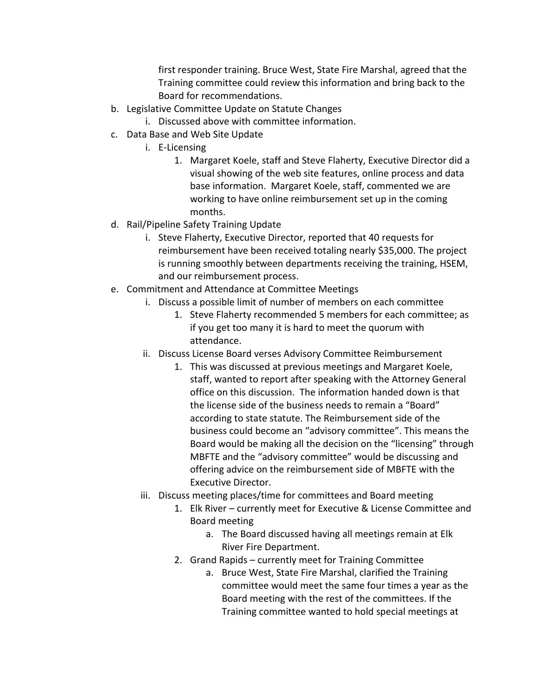first responder training. Bruce West, State Fire Marshal, agreed that the Training committee could review this information and bring back to the Board for recommendations.

- b. Legislative Committee Update on Statute Changes
	- i. Discussed above with committee information.
- c. Data Base and Web Site Update
	- i. E-Licensing
		- 1. Margaret Koele, staff and Steve Flaherty, Executive Director did a visual showing of the web site features, online process and data base information. Margaret Koele, staff, commented we are working to have online reimbursement set up in the coming months.
- d. Rail/Pipeline Safety Training Update
	- i. Steve Flaherty, Executive Director, reported that 40 requests for reimbursement have been received totaling nearly \$35,000. The project is running smoothly between departments receiving the training, HSEM, and our reimbursement process.
- e. Commitment and Attendance at Committee Meetings
	- i. Discuss a possible limit of number of members on each committee
		- 1. Steve Flaherty recommended 5 members for each committee; as if you get too many it is hard to meet the quorum with attendance.
	- ii. Discuss License Board verses Advisory Committee Reimbursement
		- 1. This was discussed at previous meetings and Margaret Koele, staff, wanted to report after speaking with the Attorney General office on this discussion. The information handed down is that the license side of the business needs to remain a "Board" according to state statute. The Reimbursement side of the business could become an "advisory committee". This means the Board would be making all the decision on the "licensing" through MBFTE and the "advisory committee" would be discussing and offering advice on the reimbursement side of MBFTE with the Executive Director.
	- iii. Discuss meeting places/time for committees and Board meeting
		- 1. Elk River currently meet for Executive & License Committee and Board meeting
			- a. The Board discussed having all meetings remain at Elk River Fire Department.
		- 2. Grand Rapids currently meet for Training Committee
			- a. Bruce West, State Fire Marshal, clarified the Training committee would meet the same four times a year as the Board meeting with the rest of the committees. If the Training committee wanted to hold special meetings at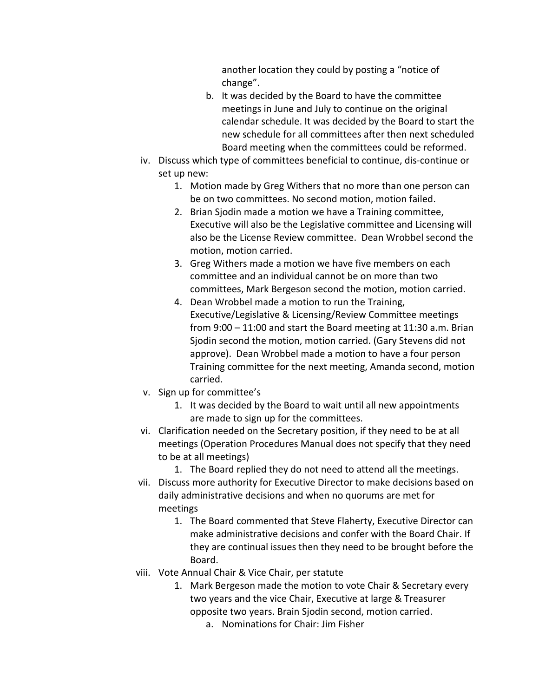another location they could by posting a "notice of change".

- b. It was decided by the Board to have the committee meetings in June and July to continue on the original calendar schedule. It was decided by the Board to start the new schedule for all committees after then next scheduled Board meeting when the committees could be reformed.
- iv. Discuss which type of committees beneficial to continue, dis-continue or set up new:
	- 1. Motion made by Greg Withers that no more than one person can be on two committees. No second motion, motion failed.
	- 2. Brian Sjodin made a motion we have a Training committee, Executive will also be the Legislative committee and Licensing will also be the License Review committee. Dean Wrobbel second the motion, motion carried.
	- 3. Greg Withers made a motion we have five members on each committee and an individual cannot be on more than two committees, Mark Bergeson second the motion, motion carried.
	- 4. Dean Wrobbel made a motion to run the Training, Executive/Legislative & Licensing/Review Committee meetings from 9:00 – 11:00 and start the Board meeting at 11:30 a.m. Brian Sjodin second the motion, motion carried. (Gary Stevens did not approve). Dean Wrobbel made a motion to have a four person Training committee for the next meeting, Amanda second, motion carried.
- v. Sign up for committee's
	- 1. It was decided by the Board to wait until all new appointments are made to sign up for the committees.
- vi. Clarification needed on the Secretary position, if they need to be at all meetings (Operation Procedures Manual does not specify that they need to be at all meetings)
	- 1. The Board replied they do not need to attend all the meetings.
- vii. Discuss more authority for Executive Director to make decisions based on daily administrative decisions and when no quorums are met for meetings
	- 1. The Board commented that Steve Flaherty, Executive Director can make administrative decisions and confer with the Board Chair. If they are continual issues then they need to be brought before the Board.
- viii. Vote Annual Chair & Vice Chair, per statute
	- 1. Mark Bergeson made the motion to vote Chair & Secretary every two years and the vice Chair, Executive at large & Treasurer opposite two years. Brain Sjodin second, motion carried.
		- a. Nominations for Chair: Jim Fisher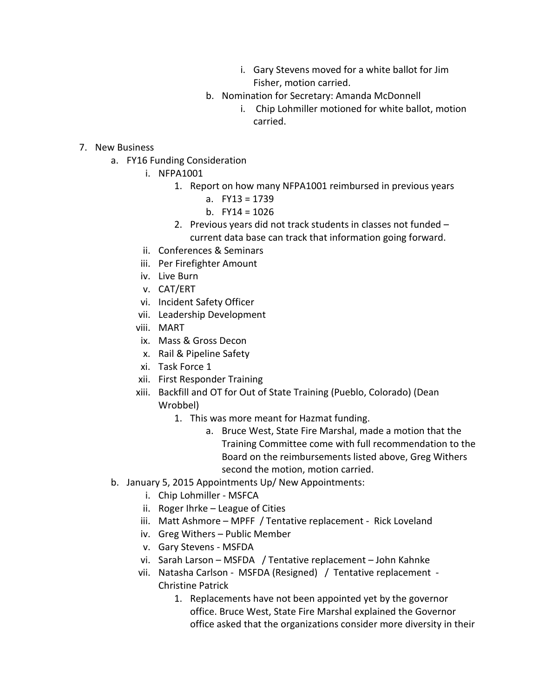- i. Gary Stevens moved for a white ballot for Jim Fisher, motion carried.
- b. Nomination for Secretary: Amanda McDonnell
	- i. Chip Lohmiller motioned for white ballot, motion carried.

- 7. New Business
	- a. FY16 Funding Consideration
		- i. NFPA1001
			- 1. Report on how many NFPA1001 reimbursed in previous years
				- a. FY13 = 1739
				- b. FY14 = 1026
				- 2. Previous years did not track students in classes not funded current data base can track that information going forward.
		- ii. Conferences & Seminars
		- iii. Per Firefighter Amount
		- iv. Live Burn
		- v. CAT/ERT
		- vi. Incident Safety Officer
		- vii. Leadership Development
		- viii. MART
		- ix. Mass & Gross Decon
		- x. Rail & Pipeline Safety
		- xi. Task Force 1
		- xii. First Responder Training
		- xiii. Backfill and OT for Out of State Training (Pueblo, Colorado) (Dean Wrobbel)
			- 1. This was more meant for Hazmat funding.
				- a. Bruce West, State Fire Marshal, made a motion that the Training Committee come with full recommendation to the Board on the reimbursements listed above, Greg Withers second the motion, motion carried.
	- b. January 5, 2015 Appointments Up/ New Appointments:
		- i. Chip Lohmiller MSFCA
		- ii. Roger Ihrke League of Cities
		- iii. Matt Ashmore MPFF / Tentative replacement Rick Loveland
		- iv. Greg Withers Public Member
		- v. Gary Stevens MSFDA
		- vi. Sarah Larson MSFDA / Tentative replacement John Kahnke
		- vii. Natasha Carlson MSFDA (Resigned) / Tentative replacement Christine Patrick
			- 1. Replacements have not been appointed yet by the governor office. Bruce West, State Fire Marshal explained the Governor office asked that the organizations consider more diversity in their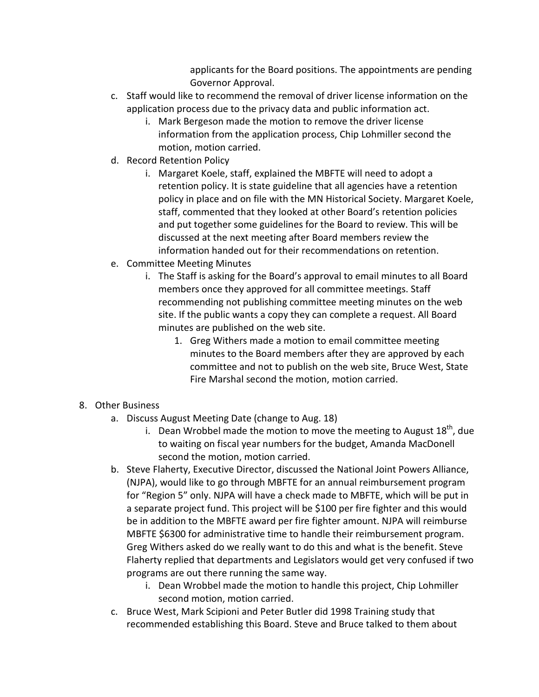applicants for the Board positions. The appointments are pending Governor Approval.

- c. Staff would like to recommend the removal of driver license information on the application process due to the privacy data and public information act.
	- i. Mark Bergeson made the motion to remove the driver license information from the application process, Chip Lohmiller second the motion, motion carried.
- d. Record Retention Policy
	- i. Margaret Koele, staff, explained the MBFTE will need to adopt a retention policy. It is state guideline that all agencies have a retention policy in place and on file with the MN Historical Society. Margaret Koele, staff, commented that they looked at other Board's retention policies and put together some guidelines for the Board to review. This will be discussed at the next meeting after Board members review the information handed out for their recommendations on retention.
- e. Committee Meeting Minutes
	- i. The Staff is asking for the Board's approval to email minutes to all Board members once they approved for all committee meetings. Staff recommending not publishing committee meeting minutes on the web site. If the public wants a copy they can complete a request. All Board minutes are published on the web site.
		- 1. Greg Withers made a motion to email committee meeting minutes to the Board members after they are approved by each committee and not to publish on the web site, Bruce West, State Fire Marshal second the motion, motion carried.
- 8. Other Business
	- a. Discuss August Meeting Date (change to Aug. 18)
		- i. Dean Wrobbel made the motion to move the meeting to August  $18^{th}$ , due to waiting on fiscal year numbers for the budget, Amanda MacDonell second the motion, motion carried.
	- b. Steve Flaherty, Executive Director, discussed the National Joint Powers Alliance, (NJPA), would like to go through MBFTE for an annual reimbursement program for "Region 5" only. NJPA will have a check made to MBFTE, which will be put in a separate project fund. This project will be \$100 per fire fighter and this would be in addition to the MBFTE award per fire fighter amount. NJPA will reimburse MBFTE \$6300 for administrative time to handle their reimbursement program. Greg Withers asked do we really want to do this and what is the benefit. Steve Flaherty replied that departments and Legislators would get very confused if two programs are out there running the same way.
		- i. Dean Wrobbel made the motion to handle this project, Chip Lohmiller second motion, motion carried.
	- c. Bruce West, Mark Scipioni and Peter Butler did 1998 Training study that recommended establishing this Board. Steve and Bruce talked to them about